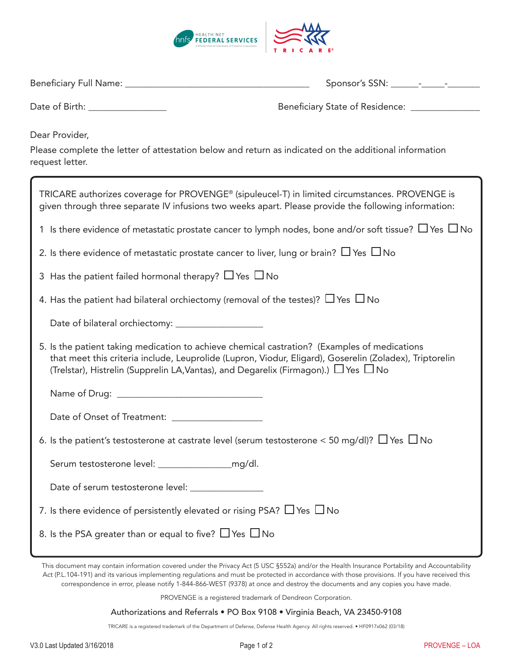

| Date of Birth: __________________                                                                                                                                                                                                                                                                        | Beneficiary State of Residence: ________________ |  |  |
|----------------------------------------------------------------------------------------------------------------------------------------------------------------------------------------------------------------------------------------------------------------------------------------------------------|--------------------------------------------------|--|--|
| Dear Provider,<br>Please complete the letter of attestation below and return as indicated on the additional information<br>request letter.                                                                                                                                                               |                                                  |  |  |
| TRICARE authorizes coverage for PROVENGE® (sipuleucel-T) in limited circumstances. PROVENGE is<br>given through three separate IV infusions two weeks apart. Please provide the following information:                                                                                                   |                                                  |  |  |
| 1 Is there evidence of metastatic prostate cancer to lymph nodes, bone and/or soft tissue? $\Box$ Yes $\Box$ No                                                                                                                                                                                          |                                                  |  |  |
| 2. Is there evidence of metastatic prostate cancer to liver, lung or brain? $\Box$ Yes $\Box$ No                                                                                                                                                                                                         |                                                  |  |  |
| 3 Has the patient failed hormonal therapy? $\Box$ Yes $\Box$ No                                                                                                                                                                                                                                          |                                                  |  |  |
| 4. Has the patient had bilateral orchiectomy (removal of the testes)? $\Box$ Yes $\Box$ No                                                                                                                                                                                                               |                                                  |  |  |
|                                                                                                                                                                                                                                                                                                          |                                                  |  |  |
| 5. Is the patient taking medication to achieve chemical castration? (Examples of medications<br>that meet this criteria include, Leuprolide (Lupron, Viodur, Eligard), Goserelin (Zoladex), Triptorelin<br>(Trelstar), Histrelin (Supprelin LA, Vantas), and Degarelix (Firmagon).) $\Box$ Yes $\Box$ No |                                                  |  |  |
|                                                                                                                                                                                                                                                                                                          |                                                  |  |  |
| Date of Onset of Treatment: _____________________                                                                                                                                                                                                                                                        |                                                  |  |  |
| 6. Is the patient's testosterone at castrate level (serum testosterone < 50 mg/dl)? $\Box$ Yes $\Box$ No                                                                                                                                                                                                 |                                                  |  |  |
|                                                                                                                                                                                                                                                                                                          |                                                  |  |  |
| Date of serum testosterone level: _________________                                                                                                                                                                                                                                                      |                                                  |  |  |
| 7. Is there evidence of persistently elevated or rising PSA? $\Box$ Yes $\Box$ No                                                                                                                                                                                                                        |                                                  |  |  |
| 8. Is the PSA greater than or equal to five? $\Box$ Yes $\Box$ No                                                                                                                                                                                                                                        |                                                  |  |  |

This document may contain information covered under the Privacy Act (5 USC §552a) and/or the Health Insurance Portability and Accountability Act (P.L.104-191) and its various implementing regulations and must be protected in accordance with those provisions. If you have received this correspondence in error, please notify 1-844-866-WEST (9378) at once and destroy the documents and any copies you have made.

PROVENGE is a registered trademark of Dendreon Corporation.

Authorizations and Referrals • PO Box 9108 • Virginia Beach, VA 23450-9108

TRICARE is a registered trademark of the Department of Defense, Defense Health Agency. All rights reserved. • HF0917x062 (03/18)